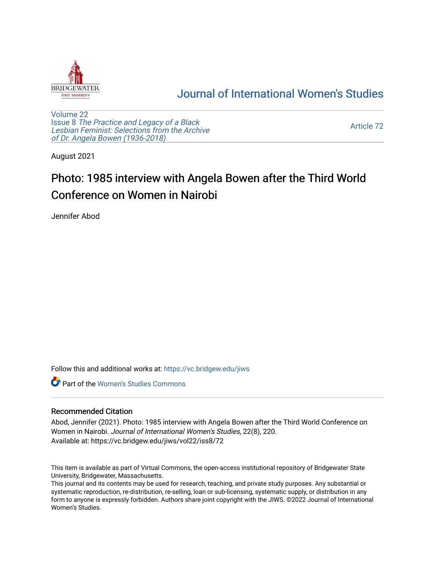

## [Journal of International Women's Studies](https://vc.bridgew.edu/jiws)

[Volume 22](https://vc.bridgew.edu/jiws/vol22) Issue 8 [The Practice and Legacy of a Black](https://vc.bridgew.edu/jiws/vol22/iss8)  [Lesbian Feminist: Selections from the Archive](https://vc.bridgew.edu/jiws/vol22/iss8)  [of Dr. Angela Bowen \(1936-2018\)](https://vc.bridgew.edu/jiws/vol22/iss8)

[Article 72](https://vc.bridgew.edu/jiws/vol22/iss8/72) 

August 2021

## Photo: 1985 interview with Angela Bowen after the Third World Conference on Women in Nairobi

Jennifer Abod

Follow this and additional works at: [https://vc.bridgew.edu/jiws](https://vc.bridgew.edu/jiws?utm_source=vc.bridgew.edu%2Fjiws%2Fvol22%2Fiss8%2F72&utm_medium=PDF&utm_campaign=PDFCoverPages)

**C** Part of the Women's Studies Commons

## Recommended Citation

Abod, Jennifer (2021). Photo: 1985 interview with Angela Bowen after the Third World Conference on Women in Nairobi. Journal of International Women's Studies, 22(8), 220. Available at: https://vc.bridgew.edu/jiws/vol22/iss8/72

This item is available as part of Virtual Commons, the open-access institutional repository of Bridgewater State University, Bridgewater, Massachusetts.

This journal and its contents may be used for research, teaching, and private study purposes. Any substantial or systematic reproduction, re-distribution, re-selling, loan or sub-licensing, systematic supply, or distribution in any form to anyone is expressly forbidden. Authors share joint copyright with the JIWS. ©2022 Journal of International Women's Studies.